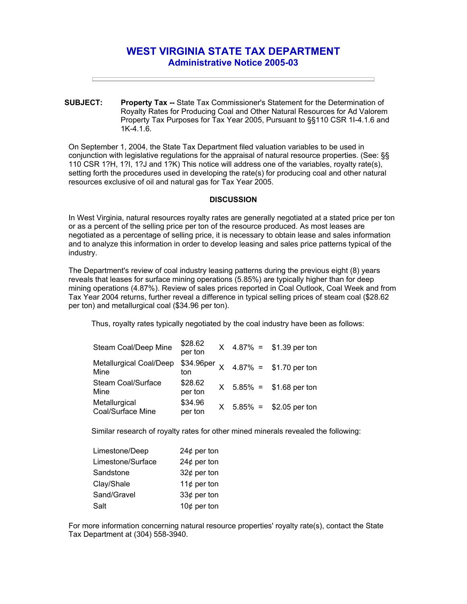## **WEST VIRGINIA STATE TAX DEPARTMENT Administrative Notice 2005-03**

**SUBJECT: Property Tax --** State Tax Commissioner's Statement for the Determination of Royalty Rates for Producing Coal and Other Natural Resources for Ad Valorem Property Tax Purposes for Tax Year 2005, Pursuant to §§110 CSR 1I-4.1.6 and 1K-4.1.6.

On September 1, 2004, the State Tax Department filed valuation variables to be used in conjunction with legislative regulations for the appraisal of natural resource properties. (See: §§ 110 CSR 1?H, 1?I, 1?J and 1?K) This notice will address one of the variables, royalty rate(s), setting forth the procedures used in developing the rate(s) for producing coal and other natural resources exclusive of oil and natural gas for Tax Year 2005.

## **DISCUSSION**

In West Virginia, natural resources royalty rates are generally negotiated at a stated price per ton or as a percent of the selling price per ton of the resource produced. As most leases are negotiated as a percentage of selling price, it is necessary to obtain lease and sales information and to analyze this information in order to develop leasing and sales price patterns typical of the industry.

The Department's review of coal industry leasing patterns during the previous eight (8) years reveals that leases for surface mining operations (5.85%) are typically higher than for deep mining operations (4.87%). Review of sales prices reported in Coal Outlook, Coal Week and from Tax Year 2004 returns, further reveal a difference in typical selling prices of steam coal (\$28.62 per ton) and metallurgical coal (\$34.96 per ton).

Thus, royalty rates typically negotiated by the coal industry have been as follows:

| Steam Coal/Deep Mine               | \$28.62<br>per ton |  | $X$ 4.87% = \$1.39 per ton                 |
|------------------------------------|--------------------|--|--------------------------------------------|
| Metallurgical Coal/Deep<br>Mine    | ton                |  | \$34.96per $\times$ 4.87% = \$1.70 per ton |
| Steam Coal/Surface<br>Mine         | \$28.62<br>per ton |  | $X$ 5.85% = \$1.68 per ton                 |
| Metallurgical<br>Coal/Surface Mine | \$34.96<br>per ton |  | $X$ 5.85% = \$2.05 per ton                 |

Similar research of royalty rates for other mined minerals revealed the following:

| Limestone/Deep    | 24 $¢$ per ton |
|-------------------|----------------|
| Limestone/Surface | 24 $¢$ per ton |
| Sandstone         | 32 $¢$ per ton |
| Clay/Shale        | 11 $¢$ per ton |
| Sand/Gravel       | 33¢ per ton    |
| Salt              | 10 $¢$ per ton |

For more information concerning natural resource properties' royalty rate(s), contact the State Tax Department at (304) 558-3940.